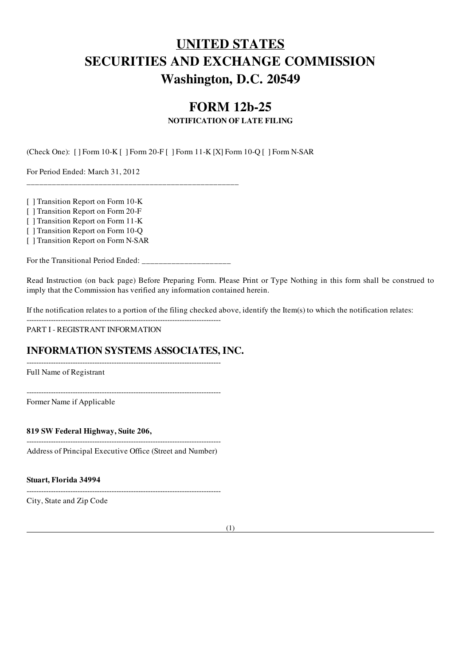# UNITED STATES SECURITIES AND EXCHANGE COMMISSION Washington, D.C. 20549

# FORM 12b-25

### NOTIFICATION OF LATE FILING

(Check One): [ ] Form 10-K [ ] Form 20-F [ ] Form 11-K [X] Form 10-Q [ ] Form N-SAR

For Period Ended: March 31, 2012

[ ] Transition Report on Form 10-K

[ ] Transition Report on Form 20-F

[ ] Transition Report on Form 11-K

[ ] Transition Report on Form 10-Q

[ ] Transition Report on Form N-SAR

For the Transitional Period Ended:

 $-$ 

\_\_\_\_\_\_\_\_\_\_\_\_\_\_\_\_\_\_\_\_\_\_\_\_\_\_\_\_\_\_\_\_\_\_\_\_\_\_\_\_\_\_\_\_\_\_\_\_\_\_

Read Instruction (on back page) Before Preparing Form. Please Print or Type Nothing in this form shall be construed to imply that the Commission has verified any information contained herein.

If the notification relates to a portion of the filing checked above, identify the Item(s) to which the notification relates:

PART I - REGISTRANT INFORMATION

## INFORMATION SYSTEMS ASSOCIATES, INC.

Full Name of Registrant

--------------------------------------------------------------------------------

--------------------------------------------------------------------------------

Former Name if Applicable

819 SW Federal Highway, Suite 206,

-------------------------------------------------------------------------------- Address of Principal Executive Office (Street and Number)

--------------------------------------------------------------------------------

Stuart, Florida 34994

City, State and Zip Code

(1)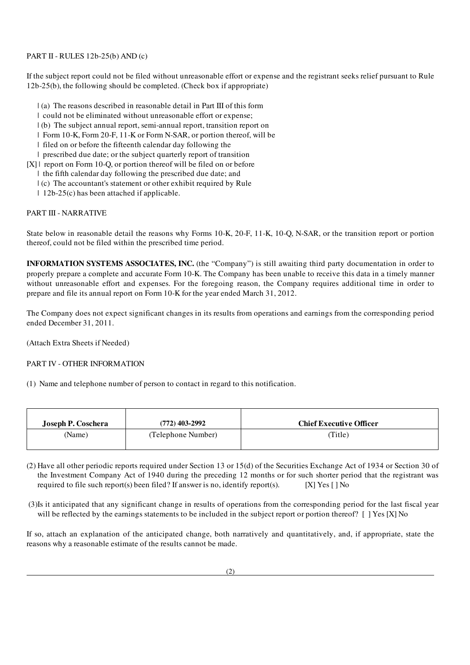#### PART II - RULES 12b-25(b) AND (c)

If the subject report could not be filed without unreasonable effort or expense and the registrant seeks relief pursuant to Rule 12b-25(b), the following should be completed. (Check box if appropriate)

- | (a) The reasons described in reasonable detail in Part III of this form
- | could not be eliminated without unreasonable effort or expense;
- | (b) The subject annual report, semi-annual report, transition report on
- | Form 10-K, Form 20-F, 11-K or Form N-SAR, or portion thereof, will be
- | filed on or before the fifteenth calendar day following the
- | prescribed due date; or the subject quarterly report of transition
- [X] | report on Form 10-Q, or portion thereof will be filed on or before
	- | the fifth calendar day following the prescribed due date; and
	- | (c) The accountant's statement or other exhibit required by Rule
	- | 12b-25(c) has been attached if applicable.

#### PART III - NARRATIVE

State below in reasonable detail the reasons why Forms 10-K, 20-F, 11-K, 10-Q, N-SAR, or the transition report or portion thereof, could not be filed within the prescribed time period.

INFORMATION SYSTEMS ASSOCIATES, INC. (the "Company") is still awaiting third party documentation in order to properly prepare a complete and accurate Form 10-K. The Company has been unable to receive this data in a timely manner without unreasonable effort and expenses. For the foregoing reason, the Company requires additional time in order to prepare and file its annual report on Form 10-K for the year ended March 31, 2012.

The Company does not expect significant changes in its results from operations and earnings from the corresponding period ended December 31, 2011.

(Attach Extra Sheets if Needed)

#### PART IV - OTHER INFORMATION

(1) Name and telephone number of person to contact in regard to this notification.

| Joseph P. Coschera | $(772)$ 403-2992   | <b>Chief Executive Officer</b> |
|--------------------|--------------------|--------------------------------|
| (Name)             | (Telephone Number) | (Title)                        |

- (2) Have all other periodic reports required under Section 13 or 15(d) of the Securities Exchange Act of 1934 or Section 30 of the Investment Company Act of 1940 during the preceding 12 months or for such shorter period that the registrant was required to file such report(s) been filed? If answer is no, identify report(s). [X] Yes [ ] No
- (3)Is it anticipated that any significant change in results of operations from the corresponding period for the last fiscal year will be reflected by the earnings statements to be included in the subject report or portion thereof? [ ] Yes [X] No

If so, attach an explanation of the anticipated change, both narratively and quantitatively, and, if appropriate, state the reasons why a reasonable estimate of the results cannot be made.